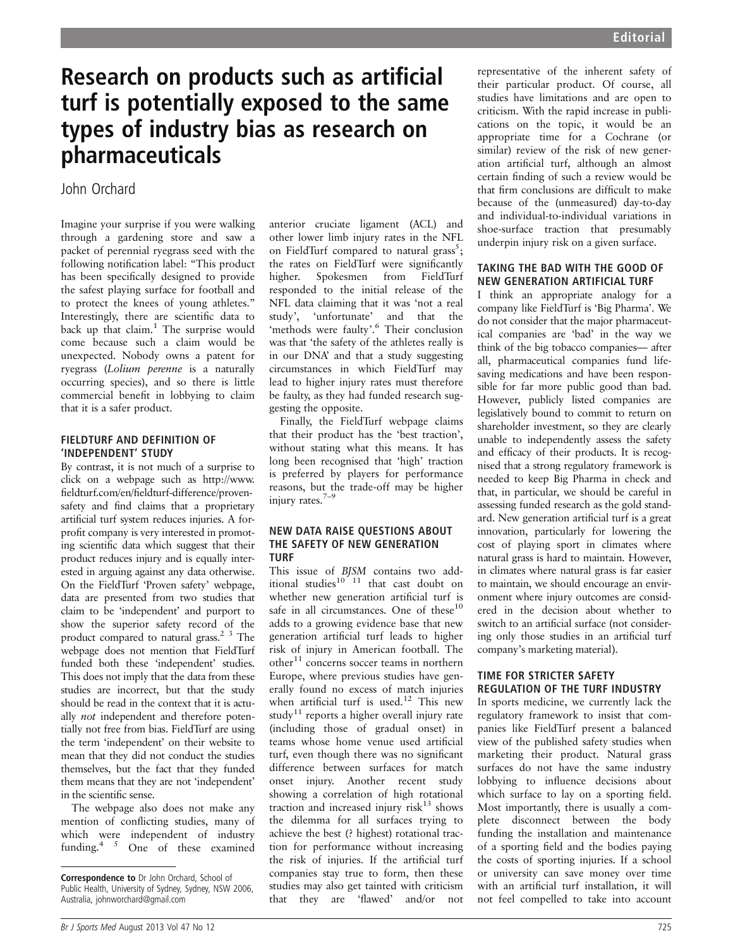# Research on products such as artificial turf is potentially exposed to the same types of industry bias as research on pharmaceuticals

# John Orchard

Imagine your surprise if you were walking through a gardening store and saw a packet of perennial ryegrass seed with the following notification label: "This product has been specifically designed to provide the safest playing surface for football and to protect the knees of young athletes." Interestingly, there are scientific data to back up that claim.<sup>1</sup> The surprise would come because such a claim would be unexpected. Nobody owns a patent for ryegrass (Lolium perenne is a naturally occurring species), and so there is little commercial benefit in lobbying to claim that it is a safer product.

#### FIELDTURF AND DEFINITION OF 'INDEPENDENT' STUDY

By contrast, it is not much of a surprise to click on a webpage such as http://www. fieldturf.com/en/fieldturf-difference/provensafety and find claims that a proprietary artificial turf system reduces injuries. A forprofit company is very interested in promoting scientific data which suggest that their product reduces injury and is equally interested in arguing against any data otherwise. On the FieldTurf 'Proven safety' webpage, data are presented from two studies that claim to be 'independent' and purport to show the superior safety record of the product compared to natural grass.2 3 The webpage does not mention that FieldTurf funded both these 'independent' studies. This does not imply that the data from these studies are incorrect, but that the study should be read in the context that it is actually not independent and therefore potentially not free from bias. FieldTurf are using the term 'independent' on their website to mean that they did not conduct the studies themselves, but the fact that they funded them means that they are not 'independent' in the scientific sense.

The webpage also does not make any mention of conflicting studies, many of which were independent of industry funding. $45$  One of these examined

anterior cruciate ligament (ACL) and other lower limb injury rates in the NFL on FieldTurf compared to natural grass<sup>5</sup>; the rates on FieldTurf were significantly higher. Spokesmen from FieldTurf responded to the initial release of the NFL data claiming that it was 'not a real study', 'unfortunate' and that the 'methods were faulty'.<sup>6</sup> Their conclusion was that 'the safety of the athletes really is in our DNA' and that a study suggesting circumstances in which FieldTurf may lead to higher injury rates must therefore be faulty, as they had funded research suggesting the opposite.

Finally, the FieldTurf webpage claims that their product has the 'best traction', without stating what this means. It has long been recognised that 'high' traction is preferred by players for performance reasons, but the trade-off may be higher injury rates.<sup>7-</sup>

#### NEW DATA RAISE QUESTIONS ABOUT THE SAFETY OF NEW GENERATION TURF

This issue of BJSM contains two additional studies $10^{10}$  11 that cast doubt on whether new generation artificial turf is safe in all circumstances. One of these<sup>10</sup> adds to a growing evidence base that new generation artificial turf leads to higher risk of injury in American football. The other<sup>11</sup> concerns soccer teams in northern Europe, where previous studies have generally found no excess of match injuries when artificial turf is used.<sup>12</sup> This new study<sup>11</sup> reports a higher overall injury rate (including those of gradual onset) in teams whose home venue used artificial turf, even though there was no significant difference between surfaces for match onset injury. Another recent study showing a correlation of high rotational traction and increased injury risk $13$  shows the dilemma for all surfaces trying to achieve the best (? highest) rotational traction for performance without increasing the risk of injuries. If the artificial turf companies stay true to form, then these studies may also get tainted with criticism that they are 'flawed' and/or not

representative of the inherent safety of their particular product. Of course, all studies have limitations and are open to criticism. With the rapid increase in publications on the topic, it would be an appropriate time for a Cochrane (or similar) review of the risk of new generation artificial turf, although an almost certain finding of such a review would be that firm conclusions are difficult to make because of the (unmeasured) day-to-day and individual-to-individual variations in shoe-surface traction that presumably underpin injury risk on a given surface.

# TAKING THE BAD WITH THE GOOD OF NEW GENERATION ARTIFICIAL TURF

I think an appropriate analogy for a company like FieldTurf is 'Big Pharma'. We do not consider that the major pharmaceutical companies are 'bad' in the way we think of the big tobacco companies— after all, pharmaceutical companies fund lifesaving medications and have been responsible for far more public good than bad. However, publicly listed companies are legislatively bound to commit to return on shareholder investment, so they are clearly unable to independently assess the safety and efficacy of their products. It is recognised that a strong regulatory framework is needed to keep Big Pharma in check and that, in particular, we should be careful in assessing funded research as the gold standard. New generation artificial turf is a great innovation, particularly for lowering the cost of playing sport in climates where natural grass is hard to maintain. However, in climates where natural grass is far easier to maintain, we should encourage an environment where injury outcomes are considered in the decision about whether to switch to an artificial surface (not considering only those studies in an artificial turf company's marketing material).

## TIME FOR STRICTER SAFETY REGULATION OF THE TURF INDUSTRY

In sports medicine, we currently lack the regulatory framework to insist that companies like FieldTurf present a balanced view of the published safety studies when marketing their product. Natural grass surfaces do not have the same industry lobbying to influence decisions about which surface to lay on a sporting field. Most importantly, there is usually a complete disconnect between the body funding the installation and maintenance of a sporting field and the bodies paying the costs of sporting injuries. If a school or university can save money over time with an artificial turf installation, it will not feel compelled to take into account

Correspondence to Dr John Orchard, School of Public Health, University of Sydney, Sydney, NSW 2006, Australia, johnworchard@gmail.com